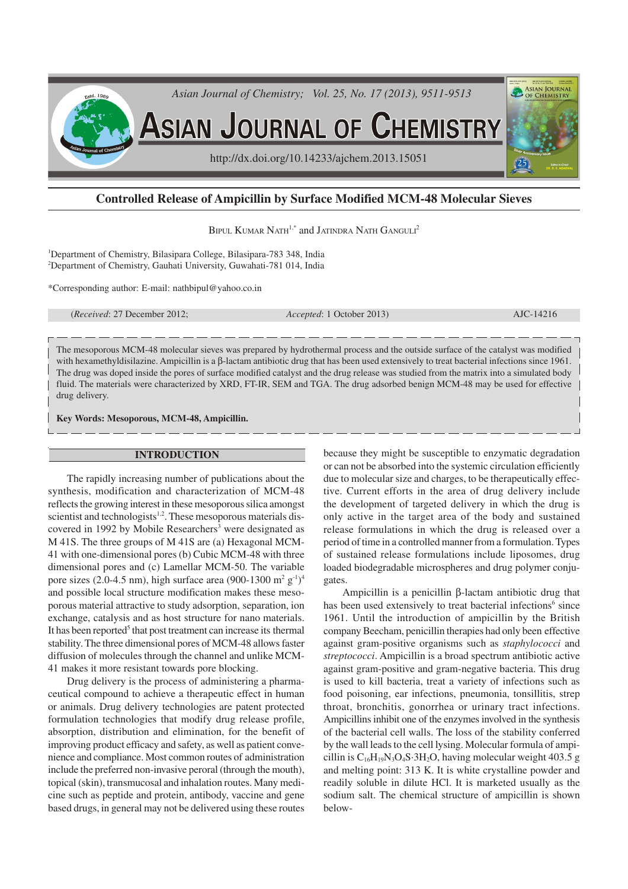

# **Controlled Release of Ampicillin by Surface Modified MCM-48 Molecular Sieves**

BIPUL KUMAR NATH<sup>1,\*</sup> and JATINDRA NATH GANGULI<sup>2</sup>

<sup>1</sup>Department of Chemistry, Bilasipara College, Bilasipara-783 348, India <sup>2</sup>Department of Chemistry, Gauhati University, Guwahati-781 014, India

\*Corresponding author: E-mail: nathbipul@yahoo.co.in

(*Received*: 27 December 2012; *Accepted*: 1 October 2013) AJC-14216

The mesoporous MCM-48 molecular sieves was prepared by hydrothermal process and the outside surface of the catalyst was modified with hexamethyldisilazine. Ampicillin is a β-lactam antibiotic drug that has been used extensively to treat bacterial infections since 1961. The drug was doped inside the pores of surface modified catalyst and the drug release was studied from the matrix into a simulated body fluid. The materials were characterized by XRD, FT-IR, SEM and TGA. The drug adsorbed benign MCM-48 may be used for effective drug delivery.

**Key Words: Mesoporous, MCM-48, Ampicillin.**

## **INTRODUCTION**

The rapidly increasing number of publications about the synthesis, modification and characterization of MCM-48 reflects the growing interest in these mesoporous silica amongst scientist and technologists<sup>1,2</sup>. These mesoporous materials discovered in 1992 by Mobile Researchers<sup>3</sup> were designated as M 41S. The three groups of M 41S are (a) Hexagonal MCM-41 with one-dimensional pores (b) Cubic MCM-48 with three dimensional pores and (c) Lamellar MCM-50. The variable pore sizes (2.0-4.5 nm), high surface area (900-1300 m<sup>2</sup> g<sup>-1</sup>)<sup>4</sup> and possible local structure modification makes these mesoporous material attractive to study adsorption, separation, ion exchange, catalysis and as host structure for nano materials. It has been reported<sup>5</sup> that post treatment can increase its thermal stability. The three dimensional pores of MCM-48 allows faster diffusion of molecules through the channel and unlike MCM-41 makes it more resistant towards pore blocking.

Drug delivery is the process of administering a pharmaceutical compound to achieve a therapeutic effect in human or animals. Drug delivery technologies are patent protected formulation technologies that modify drug release profile, absorption, distribution and elimination, for the benefit of improving product efficacy and safety, as well as patient convenience and compliance. Most common routes of administration include the preferred non-invasive peroral (through the mouth), topical (skin), transmucosal and inhalation routes. Many medicine such as peptide and protein, antibody, vaccine and gene based drugs, in general may not be delivered using these routes

because they might be susceptible to enzymatic degradation or can not be absorbed into the systemic circulation efficiently due to molecular size and charges, to be therapeutically effective. Current efforts in the area of drug delivery include the development of targeted delivery in which the drug is only active in the target area of the body and sustained release formulations in which the drug is released over a period of time in a controlled manner from a formulation. Types of sustained release formulations include liposomes, drug loaded biodegradable microspheres and drug polymer conjugates.

Ampicillin is a penicillin β-lactam antibiotic drug that has been used extensively to treat bacterial infections<sup>6</sup> since 1961. Until the introduction of ampicillin by the British company Beecham, penicillin therapies had only been effective against gram-positive organisms such as *staphylococci* and *streptococci*. Ampicillin is a broad spectrum antibiotic active against gram-positive and gram-negative bacteria. This drug is used to kill bacteria, treat a variety of infections such as food poisoning, ear infections, pneumonia, tonsillitis, strep throat, bronchitis, gonorrhea or urinary tract infections. Ampicillins inhibit one of the enzymes involved in the synthesis of the bacterial cell walls. The loss of the stability conferred by the wall leads to the cell lysing. Molecular formula of ampicillin is  $C_{16}H_{19}N_3O_4S \cdot 3H_2O$ , having molecular weight 403.5 g and melting point: 313 K. It is white crystalline powder and readily soluble in dilute HCl. It is marketed usually as the sodium salt. The chemical structure of ampicillin is shown below-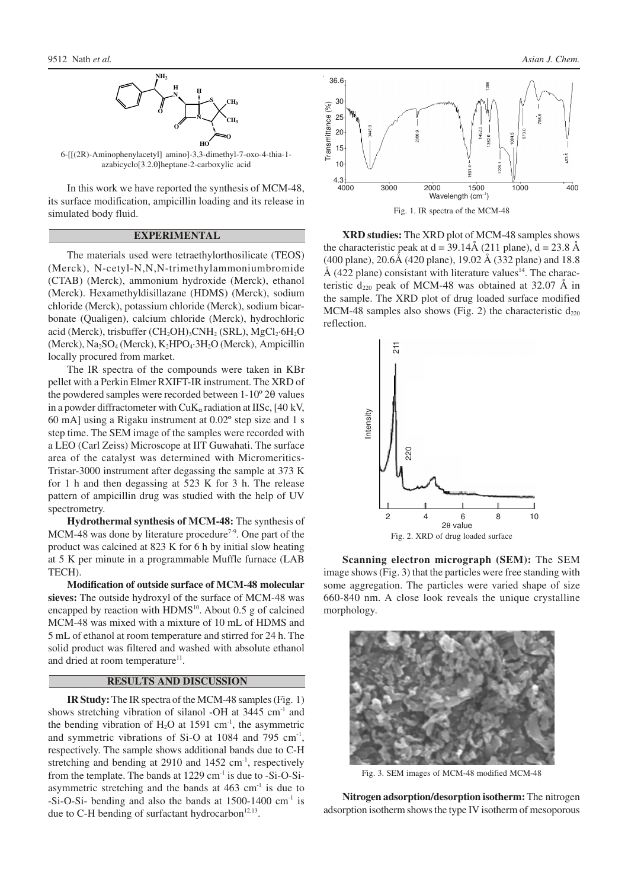



In this work we have reported the synthesis of MCM-48, its surface modification, ampicillin loading and its release in simulated body fluid.

## **EXPERIMENTAL**

The materials used were tetraethylorthosilicate (TEOS) (Merck), N-cetyl-N,N,N-trimethylammoniumbromide (CTAB) (Merck), ammonium hydroxide (Merck), ethanol (Merck). Hexamethyldisillazane (HDMS) (Merck), sodium chloride (Merck), potassium chloride (Merck), sodium bicarbonate (Qualigen), calcium chloride (Merck), hydrochloric acid (Merck), trisbuffer (CH<sub>2</sub>OH)<sub>3</sub>CNH<sub>2</sub> (SRL), MgCl<sub>2</sub>·6H<sub>2</sub>O (Merck),  $Na<sub>2</sub>SO<sub>4</sub>$  (Merck),  $K<sub>2</sub>HPO<sub>4</sub>·3H<sub>2</sub>O$  (Merck), Ampicillin locally procured from market.

The IR spectra of the compounds were taken in KBr pellet with a Perkin Elmer RXIFT-IR instrument. The XRD of the powdered samples were recorded between 1-10º 2θ values in a powder diffractometer with  $CuK_{\alpha}$  radiation at IISc, [40 kV, 60 mA] using a Rigaku instrument at 0.02º step size and 1 s step time. The SEM image of the samples were recorded with a LEO (Carl Zeiss) Microscope at IIT Guwahati. The surface area of the catalyst was determined with Micromeritics-Tristar-3000 instrument after degassing the sample at 373 K for 1 h and then degassing at 523 K for 3 h. The release pattern of ampicillin drug was studied with the help of UV spectrometry.

**Hydrothermal synthesis of MCM-48:** The synthesis of MCM-48 was done by literature procedure<sup>7-9</sup>. One part of the product was calcined at 823 K for 6 h by initial slow heating at 5 K per minute in a programmable Muffle furnace (LAB TECH).

**Modification of outside surface of MCM-48 molecular sieves:** The outside hydroxyl of the surface of MCM-48 was encapped by reaction with  $HDMS<sup>10</sup>$ . About 0.5 g of calcined MCM-48 was mixed with a mixture of 10 mL of HDMS and 5 mL of ethanol at room temperature and stirred for 24 h. The solid product was filtered and washed with absolute ethanol and dried at room temperature<sup>11</sup>.

#### **RESULTS AND DISCUSSION**

**IR Study:** The IR spectra of the MCM-48 samples (Fig. 1) shows stretching vibration of silanol -OH at  $3445 \text{ cm}^{-1}$  and the bending vibration of  $H_2O$  at 1591 cm<sup>-1</sup>, the asymmetric and symmetric vibrations of Si-O at 1084 and 795 cm<sup>-1</sup>, respectively. The sample shows additional bands due to C-H stretching and bending at  $2910$  and  $1452$  cm<sup>-1</sup>, respectively from the template. The bands at  $1229 \text{ cm}^{-1}$  is due to -Si-O-Siasymmetric stretching and the bands at  $463 \text{ cm}^{-1}$  is due to  $-Si-O-Si-$  bending and also the bands at  $1500-1400 \text{ cm}^{-1}$  is due to C-H bending of surfactant hydrocarbon $^{12,13}$ .



**XRD studies:** The XRD plot of MCM-48 samples shows the characteristic peak at  $d = 39.14 \text{ Å}$  (211 plane),  $d = 23.8 \text{ Å}$ (400 plane), 20.6Å (420 plane), 19.02 Å (332 plane) and 18.8  $\AA$  (422 plane) consistant with literature values<sup>14</sup>. The characteristic  $d_{220}$  peak of MCM-48 was obtained at 32.07 Å in the sample. The XRD plot of drug loaded surface modified MCM-48 samples also shows (Fig. 2) the characteristic  $d_{220}$ reflection.



**Scanning electron micrograph (SEM):** The SEM image shows (Fig. 3) that the particles were free standing with some aggregation. The particles were varied shape of size 660-840 nm. A close look reveals the unique crystalline morphology.



Fig. 3. SEM images of MCM-48 modified MCM-48

**Nitrogen adsorption/desorption isotherm:** The nitrogen adsorption isotherm shows the type IV isotherm of mesoporous